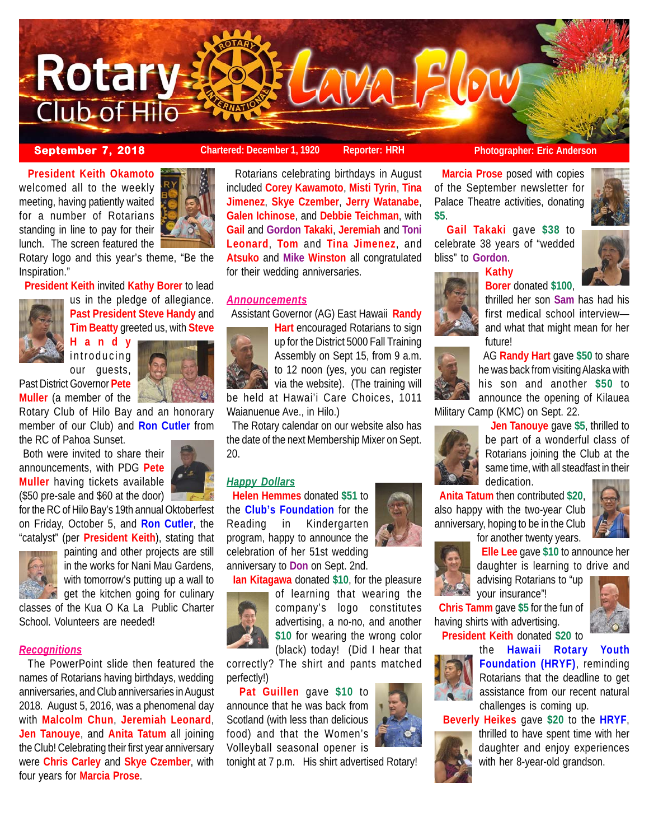

**September 7, 2018 Chartered: December 1, 1920** Reporter: HRH **Photographer: Eric Anderson** 

**Borer** donated **\$100**,

 **President Keith Okamoto** welcomed all to the weekly meeting, having patiently waited for a number of Rotarians standing in line to pay for their lunch. The screen featured the



Rotary logo and this year's theme, "Be the Inspiration."

 **President Keith** invited **Kathy Borer** to lead



us in the pledge of allegiance. **Past President Steve Handy** and **Tim Beatty** greeted us, with **Steve**

**Handy** introducing our guests,



Past District Governor **Pete Muller** (a member of the

Rotary Club of Hilo Bay and an honorary member of our Club) and **Ron Cutler** from the RC of Pahoa Sunset.

 Both were invited to share their announcements, with PDG **Pete Muller** having tickets available (\$50 pre-sale and \$60 at the door)

for the RC of Hilo Bay's 19th annual Oktoberfest on Friday, October 5, and **Ron Cutler**, the "catalyst" (per **President Keith**), stating that



painting and other projects are still in the works for Nani Mau Gardens, with tomorrow's putting up a wall to  $\bullet$  get the kitchen going for culinary

classes of the Kua O Ka La Public Charter School. Volunteers are needed!

## *Recognitions*

 The PowerPoint slide then featured the names of Rotarians having birthdays, wedding anniversaries, and Club anniversaries in August 2018. August 5, 2016, was a phenomenal day with **Malcolm Chun**, **Jeremiah Leonard**, **Jen Tanouye**, and **Anita Tatum** all joining the Club! Celebrating their first year anniversary were **Chris Carley** and **Skye Czember**, with four years for **Marcia Prose**.

 Rotarians celebrating birthdays in August included **Corey Kawamoto**, **Misti Tyrin**, **Tina Jimenez**, **Skye Czember**, **Jerry Watanabe**, **Galen Ichinose**, and **Debbie Teichman**, with **Gail** and **Gordon Takaki**, **Jeremiah** and **Toni Leonard**, **Tom** and **Tina Jimenez**, and **Atsuko** and **Mike Winston** all congratulated for their wedding anniversaries.

# *Announcements*

Assistant Governor (AG) East Hawaii **Randy**



**Hart** encouraged Rotarians to sign up for the District 5000 Fall Training Assembly on Sept 15, from 9 a.m. to 12 noon (yes, you can register via the website). (The training will be held at Hawai'i Care Choices, 1011

Waianuenue Ave., in Hilo.)

 The Rotary calendar on our website also has the date of the next Membership Mixer on Sept. 20.

# *Happy Dollars*

 **Helen Hemmes** donated **\$51** to the **Club's Foundation** for the Reading in Kindergarten program, happy to announce the celebration of her 51st wedding anniversary to **Don** on Sept. 2nd.

**Ian Kitagawa** donated **\$10**, for the pleasure



of learning that wearing the company's logo constitutes advertising, a no-no, and another **\$10** for wearing the wrong color (black) today! (Did I hear that

correctly? The shirt and pants matched perfectly!)

 **Pat Guillen** gave **\$10** to announce that he was back from Scotland (with less than delicious food) and that the Women's Volleyball seasonal opener is

tonight at 7 p.m. His shirt advertised Rotary!



 **Marcia Prose** posed with copies of the September newsletter for Palace Theatre activities, donating **\$5**.

 **Gail Takaki** gave **\$38** to celebrate 38 years of "wedded bliss" to **Gordon**.

**Kathy**



thrilled her son **Sam** has had his first medical school interview and what that might mean for her future!



 AG **Randy Hart** gave **\$50** to share he was back from visiting Alaska with his son and another **\$50** to announce the opening of Kilauea

Military Camp (KMC) on Sept. 22.



 **Jen Tanouye** gave **\$5**, thrilled to be part of a wonderful class of Rotarians joining the Club at the same time, with all steadfast in their dedication.

 **Anita Tatum** then contributed **\$20**, also happy with the two-year Club anniversary, hoping to be in the Club



for another twenty years. **Elle Lee** gave **\$10** to announce her daughter is learning to drive and

advising Rotarians to "up your insurance"!

 **Chris Tamm** gave **\$5** for the fun of having shirts with advertising.

**President Keith** donated **\$20** to



the **Hawaii Rotary Youth Foundation (HRYF)**, reminding Rotarians that the deadline to get assistance from our recent natural challenges is coming up.

 **Beverly Heikes** gave **\$20** to the **HRYF**,



thrilled to have spent time with her daughter and enjoy experiences with her 8-year-old grandson.

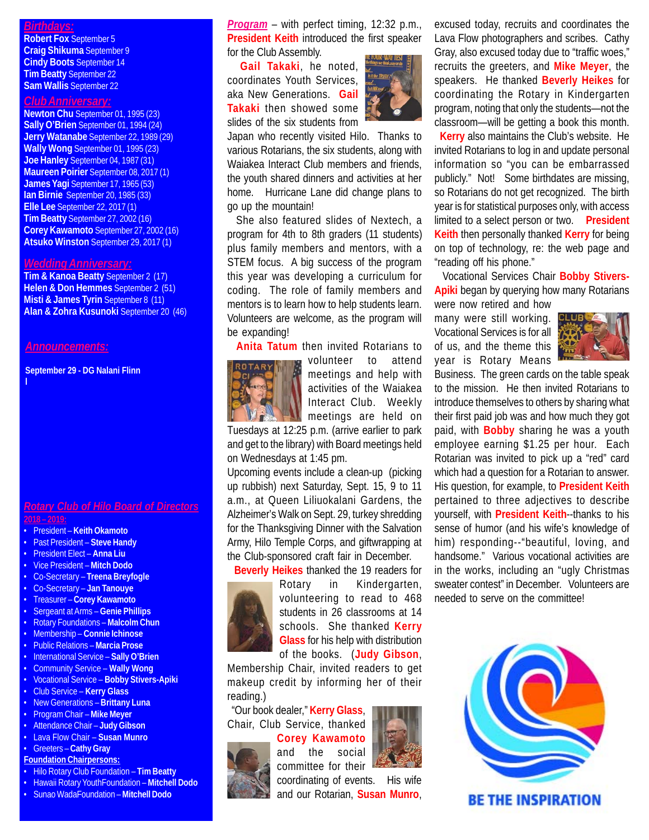# *Birthdays:*

**Robert Fox** September 5 **Craig Shikuma** September 9 **Cindy Boots** September 14 **Tim Beatty** September 22 **Sam Wallis** September 22

## *Club Anniversary:*

**Newton Chu** September 01, 1995 (23) **Sally O'Brien** September 01, 1994 (24) **Jerry Watanabe** September 22, 1989 (29) **Wally Wong** September 01, 1995 (23) **Joe Hanley** September 04, 1987 (31) **Maureen Poirier** September 08, 2017 (1) **James Yagi** September 17, 1965 (53) **Ian Birnie** September 20, 1985 (33) **Elle Lee** September 22, 2017 (1) **Tim Beatty** September 27, 2002 (16) **Corey Kawamoto** September 27, 2002 (16) **Atsuko Winston** September 29, 2017 (1)

### *Wedding Anniversary:*

**Tim & Kanoa Beatty** September 2 (17) **Helen & Don Hemmes** September 2 (51) **Misti & James Tyrin** September 8 (11) **Alan & Zohra Kusunoki** September 20 (46)

# *Announcements:*

**l**

**September 29 - DG Nalani Flinn**

# *Rotary Club of Hilo Board of Directors* **2018 – 2019:**

- President **Keith Okamoto**
- Past President **Steve Handy**
- President Elect **Anna Liu**
- Vice President **Mitch Dodo**
- Co-Secretary **Treena Breyfogle**
- Co-Secretary **Jan Tanouye**
- Treasurer **Corey Kawamoto**
- Sergeant at Arms – **Genie Phillips**
- Rotary Foundations **Malcolm Chun**
- Membership **Connie Ichinose**
- Public Relations **Marcia Prose**
- International Service **Sally O'Brien**
- Community Service **Wally Wong**
- Vocational Service **Bobby Stivers-Apiki**
- Club Service **Kerry Glass**
- New Generations **Brittany Luna**
- Program Chair – **Mike Meyer** • Attendance Chair – **Judy Gibson**
- Lava Flow Chair **Susan Munro**
- Greeters **Cathy Gray**
- **Foundation Chairpersons:**

# • Hilo Rotary Club Foundation – **Tim Beatty**

- 
- Hawaii Rotary YouthFoundation **Mitchell Dodo**
- Sunao WadaFoundation **Mitchell Dodo**

*Program* – with perfect timing, 12:32 p.m., **President Keith** introduced the first speaker for the Club Assembly.

 **Gail Takaki**, he noted, coordinates Youth Services, aka New Generations. **Gail Takaki** then showed some slides of the six students from



Japan who recently visited Hilo. Thanks to various Rotarians, the six students, along with Waiakea Interact Club members and friends, the youth shared dinners and activities at her home. Hurricane Lane did change plans to go up the mountain!

 She also featured slides of Nextech, a program for 4th to 8th graders (11 students) plus family members and mentors, with a STEM focus. A big success of the program this year was developing a curriculum for coding. The role of family members and mentors is to learn how to help students learn. Volunteers are welcome, as the program will be expanding!

**Anita Tatum** then invited Rotarians to



volunteer to attend meetings and help with activities of the Waiakea Interact Club. Weekly meetings are held on

Tuesdays at 12:25 p.m. (arrive earlier to park and get to the library) with Board meetings held on Wednesdays at 1:45 pm.

Upcoming events include a clean-up (picking up rubbish) next Saturday, Sept. 15, 9 to 11 a.m., at Queen Liliuokalani Gardens, the Alzheimer's Walk on Sept. 29, turkey shredding for the Thanksgiving Dinner with the Salvation Army, Hilo Temple Corps, and giftwrapping at the Club-sponsored craft fair in December.

**Beverly Heikes** thanked the 19 readers for



Rotary in Kindergarten, volunteering to read to 468 students in 26 classrooms at 14 schools. She thanked **Kerry Glass** for his help with distribution of the books. (**Judy Gibson**,

Membership Chair, invited readers to get makeup credit by informing her of their reading.)

 "Our book dealer," **Kerry Glass**, Chair, Club Service, thanked



coordinating of events. His wife and our Rotarian, **Susan Munro**,

excused today, recruits and coordinates the Lava Flow photographers and scribes. Cathy Gray, also excused today due to "traffic woes," recruits the greeters, and **Mike Meyer**, the speakers. He thanked **Beverly Heikes** for coordinating the Rotary in Kindergarten program, noting that only the students—not the classroom—will be getting a book this month.

 **Kerry** also maintains the Club's website. He invited Rotarians to log in and update personal information so "you can be embarrassed publicly." Not! Some birthdates are missing, so Rotarians do not get recognized. The birth year is for statistical purposes only, with access limited to a select person or two. **President Keith** then personally thanked **Kerry** for being on top of technology, re: the web page and "reading off his phone."

 Vocational Services Chair **Bobby Stivers-Apiki** began by querying how many Rotarians were now retired and how

many were still working. Vocational Services is for all of us, and the theme this year is Rotary Means



Business. The green cards on the table speak to the mission. He then invited Rotarians to introduce themselves to others by sharing what their first paid job was and how much they got paid, with **Bobby** sharing he was a youth employee earning \$1.25 per hour. Each Rotarian was invited to pick up a "red" card which had a question for a Rotarian to answer. His question, for example, to **President Keith** pertained to three adjectives to describe yourself, with **President Keith**--thanks to his sense of humor (and his wife's knowledge of him) responding--"beautiful, loving, and handsome." Various vocational activities are in the works, including an "ugly Christmas sweater contest" in December. Volunteers are needed to serve on the committee!



**BE THE INSPIRATION**